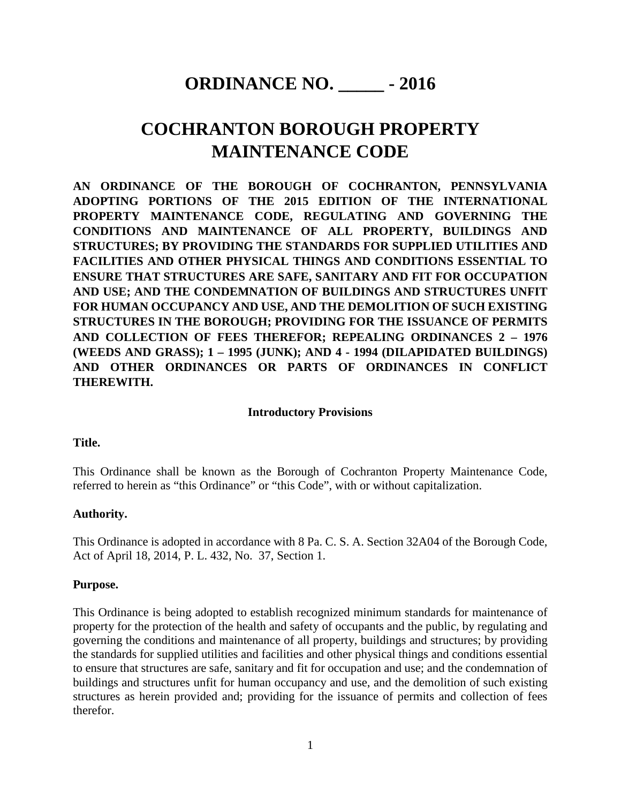# **ORDINANCE NO. \_\_\_\_\_ - 2016**

# **COCHRANTON BOROUGH PROPERTY MAINTENANCE CODE**

**AN ORDINANCE OF THE BOROUGH OF COCHRANTON, PENNSYLVANIA ADOPTING PORTIONS OF THE 2015 EDITION OF THE INTERNATIONAL PROPERTY MAINTENANCE CODE, REGULATING AND GOVERNING THE CONDITIONS AND MAINTENANCE OF ALL PROPERTY, BUILDINGS AND STRUCTURES; BY PROVIDING THE STANDARDS FOR SUPPLIED UTILITIES AND FACILITIES AND OTHER PHYSICAL THINGS AND CONDITIONS ESSENTIAL TO ENSURE THAT STRUCTURES ARE SAFE, SANITARY AND FIT FOR OCCUPATION AND USE; AND THE CONDEMNATION OF BUILDINGS AND STRUCTURES UNFIT FOR HUMAN OCCUPANCY AND USE, AND THE DEMOLITION OF SUCH EXISTING STRUCTURES IN THE BOROUGH; PROVIDING FOR THE ISSUANCE OF PERMITS AND COLLECTION OF FEES THEREFOR; REPEALING ORDINANCES 2 – 1976 (WEEDS AND GRASS); 1 – 1995 (JUNK); AND 4 - 1994 (DILAPIDATED BUILDINGS) AND OTHER ORDINANCES OR PARTS OF ORDINANCES IN CONFLICT THEREWITH.**

#### **Introductory Provisions**

#### **Title.**

This Ordinance shall be known as the Borough of Cochranton Property Maintenance Code, referred to herein as "this Ordinance" or "this Code", with or without capitalization.

#### **Authority.**

This Ordinance is adopted in accordance with 8 Pa. C. S. A. Section 32A04 of the Borough Code, Act of April 18, 2014, P. L. 432, No. 37, Section 1.

#### **Purpose.**

This Ordinance is being adopted to establish recognized minimum standards for maintenance of property for the protection of the health and safety of occupants and the public, by regulating and governing the conditions and maintenance of all property, buildings and structures; by providing the standards for supplied utilities and facilities and other physical things and conditions essential to ensure that structures are safe, sanitary and fit for occupation and use; and the condemnation of buildings and structures unfit for human occupancy and use, and the demolition of such existing structures as herein provided and; providing for the issuance of permits and collection of fees therefor.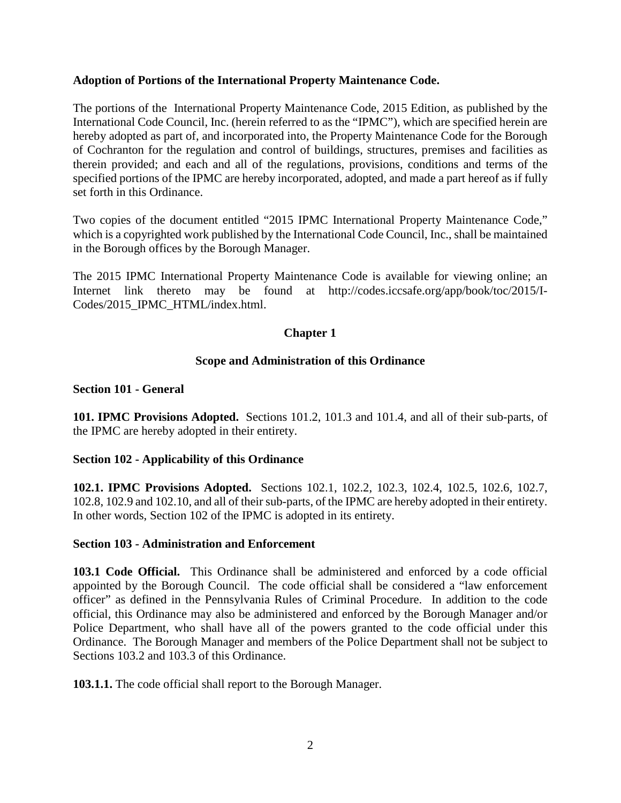## **Adoption of Portions of the International Property Maintenance Code.**

The portions of the International Property Maintenance Code, 2015 Edition, as published by the International Code Council, Inc. (herein referred to as the "IPMC"), which are specified herein are hereby adopted as part of, and incorporated into, the Property Maintenance Code for the Borough of Cochranton for the regulation and control of buildings, structures, premises and facilities as therein provided; and each and all of the regulations, provisions, conditions and terms of the specified portions of the IPMC are hereby incorporated, adopted, and made a part hereof as if fully set forth in this Ordinance.

Two copies of the document entitled "2015 IPMC International Property Maintenance Code," which is a copyrighted work published by the International Code Council, Inc., shall be maintained in the Borough offices by the Borough Manager.

The 2015 IPMC International Property Maintenance Code is available for viewing online; an Internet link thereto may be found at http://codes.iccsafe.org/app/book/toc/2015/I-Codes/2015\_IPMC\_HTML/index.html.

## **Chapter 1**

## **Scope and Administration of this Ordinance**

## **Section 101 - General**

**101. IPMC Provisions Adopted.** Sections 101.2, 101.3 and 101.4, and all of their sub-parts, of the IPMC are hereby adopted in their entirety.

# **Section 102 - Applicability of this Ordinance**

**102.1. IPMC Provisions Adopted.** Sections 102.1, 102.2, 102.3, 102.4, 102.5, 102.6, 102.7, 102.8, 102.9 and 102.10, and all of their sub-parts, of the IPMC are hereby adopted in their entirety. In other words, Section 102 of the IPMC is adopted in its entirety.

## **Section 103 - Administration and Enforcement**

**103.1 Code Official.** This Ordinance shall be administered and enforced by a code official appointed by the Borough Council. The code official shall be considered a "law enforcement officer" as defined in the Pennsylvania Rules of Criminal Procedure. In addition to the code official, this Ordinance may also be administered and enforced by the Borough Manager and/or Police Department, who shall have all of the powers granted to the code official under this Ordinance. The Borough Manager and members of the Police Department shall not be subject to Sections 103.2 and 103.3 of this Ordinance.

**103.1.1.** The code official shall report to the Borough Manager.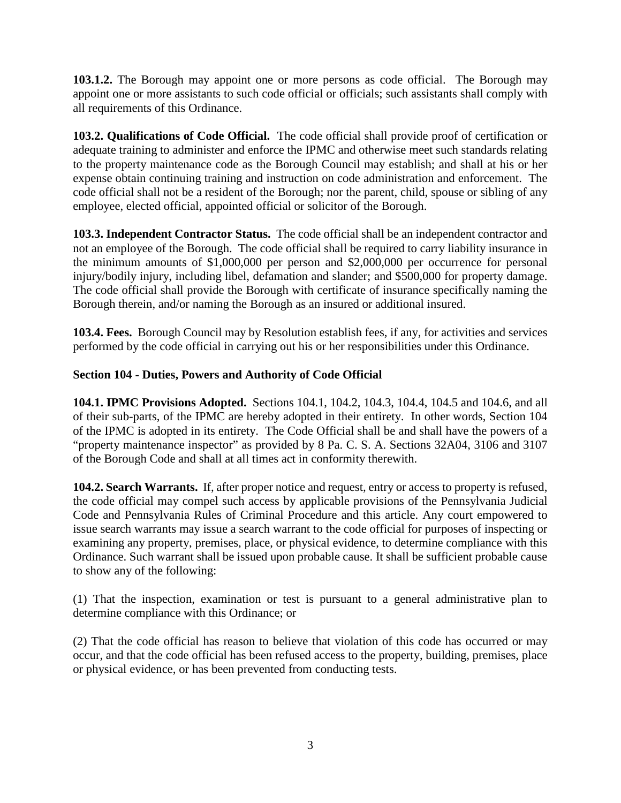**103.1.2.** The Borough may appoint one or more persons as code official. The Borough may appoint one or more assistants to such code official or officials; such assistants shall comply with all requirements of this Ordinance.

**103.2. Qualifications of Code Official.** The code official shall provide proof of certification or adequate training to administer and enforce the IPMC and otherwise meet such standards relating to the property maintenance code as the Borough Council may establish; and shall at his or her expense obtain continuing training and instruction on code administration and enforcement. The code official shall not be a resident of the Borough; nor the parent, child, spouse or sibling of any employee, elected official, appointed official or solicitor of the Borough.

**103.3. Independent Contractor Status.** The code official shall be an independent contractor and not an employee of the Borough. The code official shall be required to carry liability insurance in the minimum amounts of \$1,000,000 per person and \$2,000,000 per occurrence for personal injury/bodily injury, including libel, defamation and slander; and \$500,000 for property damage. The code official shall provide the Borough with certificate of insurance specifically naming the Borough therein, and/or naming the Borough as an insured or additional insured.

**103.4. Fees.** Borough Council may by Resolution establish fees, if any, for activities and services performed by the code official in carrying out his or her responsibilities under this Ordinance.

# **Section 104 - Duties, Powers and Authority of Code Official**

**104.1. IPMC Provisions Adopted.** Sections 104.1, 104.2, 104.3, 104.4, 104.5 and 104.6, and all of their sub-parts, of the IPMC are hereby adopted in their entirety. In other words, Section 104 of the IPMC is adopted in its entirety. The Code Official shall be and shall have the powers of a "property maintenance inspector" as provided by 8 Pa. C. S. A. Sections 32A04, 3106 and 3107 of the Borough Code and shall at all times act in conformity therewith.

**104.2. Search Warrants.** If, after proper notice and request, entry or access to property is refused, the code official may compel such access by applicable provisions of the Pennsylvania Judicial Code and Pennsylvania Rules of Criminal Procedure and this article. Any court empowered to issue search warrants may issue a search warrant to the code official for purposes of inspecting or examining any property, premises, place, or physical evidence, to determine compliance with this Ordinance. Such warrant shall be issued upon probable cause. It shall be sufficient probable cause to show any of the following:

(1) That the inspection, examination or test is pursuant to a general administrative plan to determine compliance with this Ordinance; or

(2) That the code official has reason to believe that violation of this code has occurred or may occur, and that the code official has been refused access to the property, building, premises, place or physical evidence, or has been prevented from conducting tests.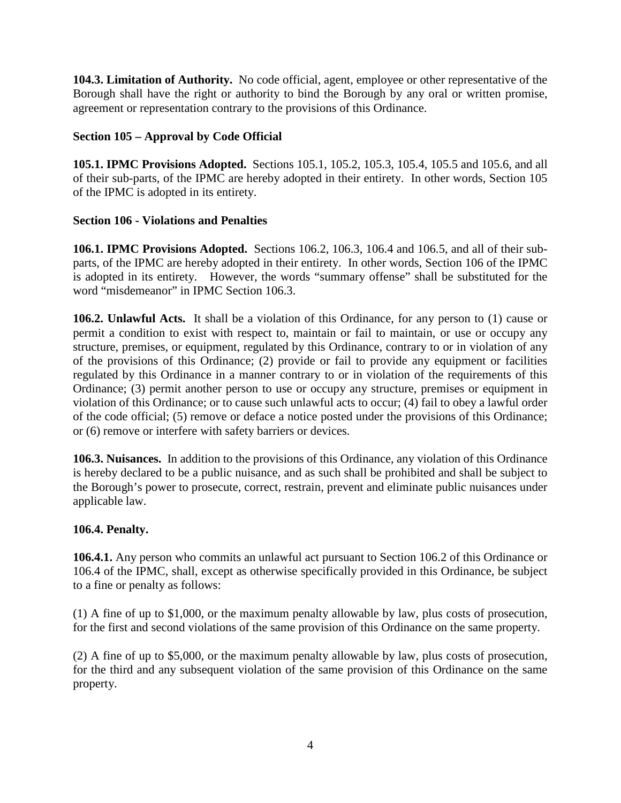**104.3. Limitation of Authority.** No code official, agent, employee or other representative of the Borough shall have the right or authority to bind the Borough by any oral or written promise, agreement or representation contrary to the provisions of this Ordinance.

# **Section 105 – Approval by Code Official**

**105.1. IPMC Provisions Adopted.** Sections 105.1, 105.2, 105.3, 105.4, 105.5 and 105.6, and all of their sub-parts, of the IPMC are hereby adopted in their entirety. In other words, Section 105 of the IPMC is adopted in its entirety.

# **Section 106 - Violations and Penalties**

**106.1. IPMC Provisions Adopted.** Sections 106.2, 106.3, 106.4 and 106.5, and all of their subparts, of the IPMC are hereby adopted in their entirety. In other words, Section 106 of the IPMC is adopted in its entirety. However, the words "summary offense" shall be substituted for the word "misdemeanor" in IPMC Section 106.3.

**106.2. Unlawful Acts.** It shall be a violation of this Ordinance, for any person to (1) cause or permit a condition to exist with respect to, maintain or fail to maintain, or use or occupy any structure, premises, or equipment, regulated by this Ordinance, contrary to or in violation of any of the provisions of this Ordinance; (2) provide or fail to provide any equipment or facilities regulated by this Ordinance in a manner contrary to or in violation of the requirements of this Ordinance; (3) permit another person to use or occupy any structure, premises or equipment in violation of this Ordinance; or to cause such unlawful acts to occur; (4) fail to obey a lawful order of the code official; (5) remove or deface a notice posted under the provisions of this Ordinance; or (6) remove or interfere with safety barriers or devices.

**106.3. Nuisances.** In addition to the provisions of this Ordinance, any violation of this Ordinance is hereby declared to be a public nuisance, and as such shall be prohibited and shall be subject to the Borough's power to prosecute, correct, restrain, prevent and eliminate public nuisances under applicable law.

# **106.4. Penalty.**

**106.4.1.** Any person who commits an unlawful act pursuant to Section 106.2 of this Ordinance or 106.4 of the IPMC, shall, except as otherwise specifically provided in this Ordinance, be subject to a fine or penalty as follows:

(1) A fine of up to \$1,000, or the maximum penalty allowable by law, plus costs of prosecution, for the first and second violations of the same provision of this Ordinance on the same property.

(2) A fine of up to \$5,000, or the maximum penalty allowable by law, plus costs of prosecution, for the third and any subsequent violation of the same provision of this Ordinance on the same property.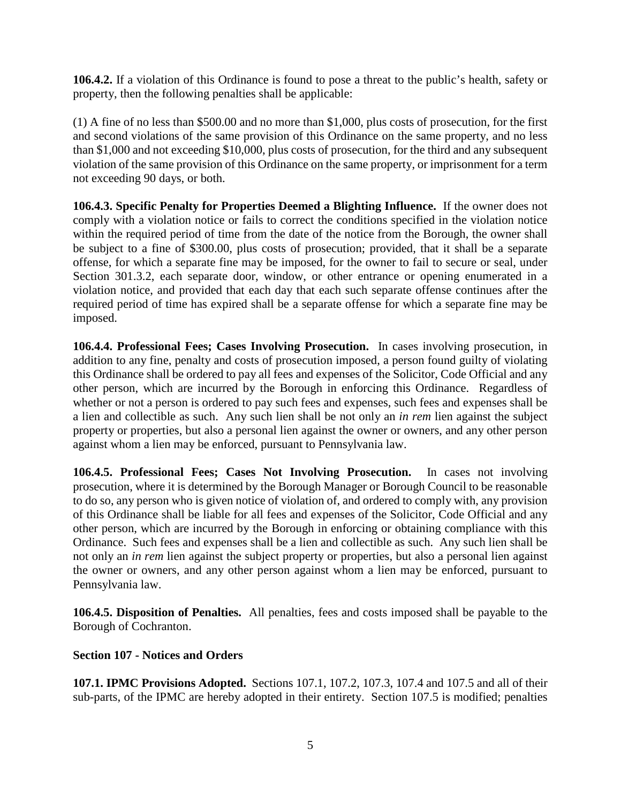**106.4.2.** If a violation of this Ordinance is found to pose a threat to the public's health, safety or property, then the following penalties shall be applicable:

(1) A fine of no less than \$500.00 and no more than \$1,000, plus costs of prosecution, for the first and second violations of the same provision of this Ordinance on the same property, and no less than \$1,000 and not exceeding \$10,000, plus costs of prosecution, for the third and any subsequent violation of the same provision of this Ordinance on the same property, or imprisonment for a term not exceeding 90 days, or both.

**106.4.3. Specific Penalty for Properties Deemed a Blighting Influence.** If the owner does not comply with a violation notice or fails to correct the conditions specified in the violation notice within the required period of time from the date of the notice from the Borough, the owner shall be subject to a fine of \$300.00, plus costs of prosecution; provided, that it shall be a separate offense, for which a separate fine may be imposed, for the owner to fail to secure or seal, under Section 301.3.2, each separate door, window, or other entrance or opening enumerated in a violation notice, and provided that each day that each such separate offense continues after the required period of time has expired shall be a separate offense for which a separate fine may be imposed.

**106.4.4. Professional Fees; Cases Involving Prosecution.** In cases involving prosecution, in addition to any fine, penalty and costs of prosecution imposed, a person found guilty of violating this Ordinance shall be ordered to pay all fees and expenses of the Solicitor, Code Official and any other person, which are incurred by the Borough in enforcing this Ordinance. Regardless of whether or not a person is ordered to pay such fees and expenses, such fees and expenses shall be a lien and collectible as such. Any such lien shall be not only an *in rem* lien against the subject property or properties, but also a personal lien against the owner or owners, and any other person against whom a lien may be enforced, pursuant to Pennsylvania law.

**106.4.5. Professional Fees; Cases Not Involving Prosecution.** In cases not involving prosecution, where it is determined by the Borough Manager or Borough Council to be reasonable to do so, any person who is given notice of violation of, and ordered to comply with, any provision of this Ordinance shall be liable for all fees and expenses of the Solicitor, Code Official and any other person, which are incurred by the Borough in enforcing or obtaining compliance with this Ordinance. Such fees and expenses shall be a lien and collectible as such. Any such lien shall be not only an *in rem* lien against the subject property or properties, but also a personal lien against the owner or owners, and any other person against whom a lien may be enforced, pursuant to Pennsylvania law.

**106.4.5. Disposition of Penalties.** All penalties, fees and costs imposed shall be payable to the Borough of Cochranton.

# **Section 107 - Notices and Orders**

**107.1. IPMC Provisions Adopted.** Sections 107.1, 107.2, 107.3, 107.4 and 107.5 and all of their sub-parts, of the IPMC are hereby adopted in their entirety. Section 107.5 is modified; penalties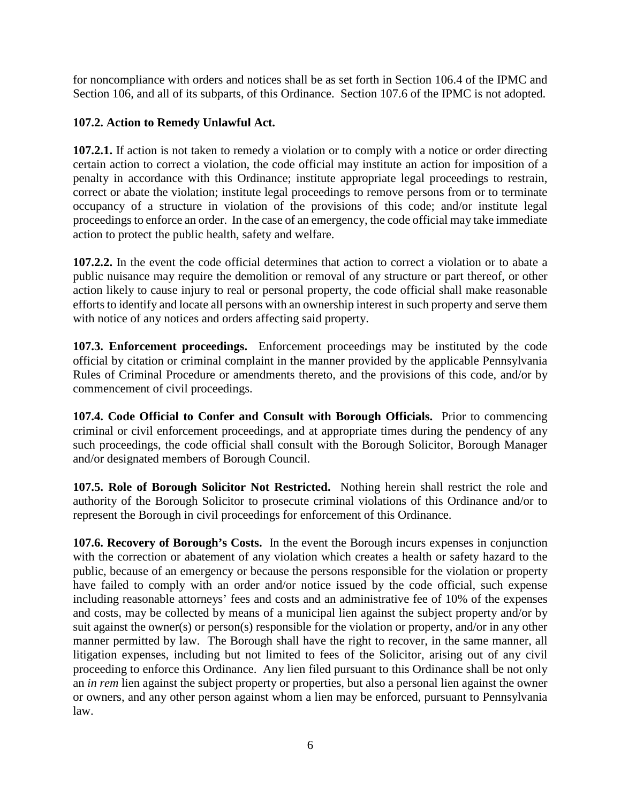for noncompliance with orders and notices shall be as set forth in Section 106.4 of the IPMC and Section 106, and all of its subparts, of this Ordinance. Section 107.6 of the IPMC is not adopted.

# **107.2. Action to Remedy Unlawful Act.**

**107.2.1.** If action is not taken to remedy a violation or to comply with a notice or order directing certain action to correct a violation, the code official may institute an action for imposition of a penalty in accordance with this Ordinance; institute appropriate legal proceedings to restrain, correct or abate the violation; institute legal proceedings to remove persons from or to terminate occupancy of a structure in violation of the provisions of this code; and/or institute legal proceedings to enforce an order. In the case of an emergency, the code official may take immediate action to protect the public health, safety and welfare.

**107.2.2.** In the event the code official determines that action to correct a violation or to abate a public nuisance may require the demolition or removal of any structure or part thereof, or other action likely to cause injury to real or personal property, the code official shall make reasonable efforts to identify and locate all persons with an ownership interest in such property and serve them with notice of any notices and orders affecting said property.

**107.3. Enforcement proceedings.** Enforcement proceedings may be instituted by the code official by citation or criminal complaint in the manner provided by the applicable Pennsylvania Rules of Criminal Procedure or amendments thereto, and the provisions of this code, and/or by commencement of civil proceedings.

**107.4. Code Official to Confer and Consult with Borough Officials.** Prior to commencing criminal or civil enforcement proceedings, and at appropriate times during the pendency of any such proceedings, the code official shall consult with the Borough Solicitor, Borough Manager and/or designated members of Borough Council.

**107.5. Role of Borough Solicitor Not Restricted.** Nothing herein shall restrict the role and authority of the Borough Solicitor to prosecute criminal violations of this Ordinance and/or to represent the Borough in civil proceedings for enforcement of this Ordinance.

**107.6. Recovery of Borough's Costs.** In the event the Borough incurs expenses in conjunction with the correction or abatement of any violation which creates a health or safety hazard to the public, because of an emergency or because the persons responsible for the violation or property have failed to comply with an order and/or notice issued by the code official, such expense including reasonable attorneys' fees and costs and an administrative fee of 10% of the expenses and costs, may be collected by means of a municipal lien against the subject property and/or by suit against the owner(s) or person(s) responsible for the violation or property, and/or in any other manner permitted by law. The Borough shall have the right to recover, in the same manner, all litigation expenses, including but not limited to fees of the Solicitor, arising out of any civil proceeding to enforce this Ordinance. Any lien filed pursuant to this Ordinance shall be not only an *in rem* lien against the subject property or properties, but also a personal lien against the owner or owners, and any other person against whom a lien may be enforced, pursuant to Pennsylvania law.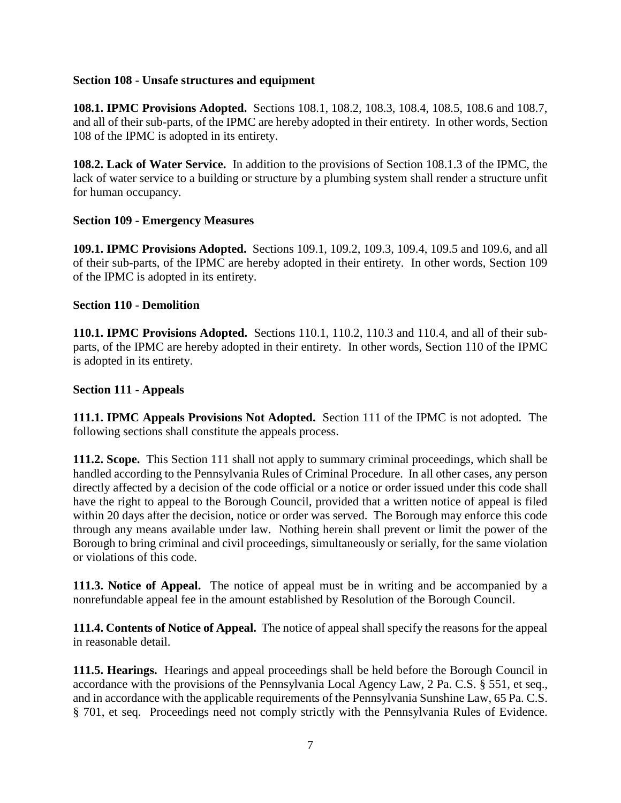## **Section 108 - Unsafe structures and equipment**

**108.1. IPMC Provisions Adopted.** Sections 108.1, 108.2, 108.3, 108.4, 108.5, 108.6 and 108.7, and all of their sub-parts, of the IPMC are hereby adopted in their entirety. In other words, Section 108 of the IPMC is adopted in its entirety.

**108.2. Lack of Water Service.** In addition to the provisions of Section 108.1.3 of the IPMC, the lack of water service to a building or structure by a plumbing system shall render a structure unfit for human occupancy.

## **Section 109 - Emergency Measures**

**109.1. IPMC Provisions Adopted.** Sections 109.1, 109.2, 109.3, 109.4, 109.5 and 109.6, and all of their sub-parts, of the IPMC are hereby adopted in their entirety. In other words, Section 109 of the IPMC is adopted in its entirety.

## **Section 110 - Demolition**

**110.1. IPMC Provisions Adopted.** Sections 110.1, 110.2, 110.3 and 110.4, and all of their subparts, of the IPMC are hereby adopted in their entirety. In other words, Section 110 of the IPMC is adopted in its entirety.

## **Section 111 - Appeals**

**111.1. IPMC Appeals Provisions Not Adopted.** Section 111 of the IPMC is not adopted. The following sections shall constitute the appeals process.

**111.2. Scope.** This Section 111 shall not apply to summary criminal proceedings, which shall be handled according to the Pennsylvania Rules of Criminal Procedure. In all other cases, any person directly affected by a decision of the code official or a notice or order issued under this code shall have the right to appeal to the Borough Council, provided that a written notice of appeal is filed within 20 days after the decision, notice or order was served. The Borough may enforce this code through any means available under law. Nothing herein shall prevent or limit the power of the Borough to bring criminal and civil proceedings, simultaneously or serially, for the same violation or violations of this code.

**111.3. Notice of Appeal.** The notice of appeal must be in writing and be accompanied by a nonrefundable appeal fee in the amount established by Resolution of the Borough Council.

**111.4. Contents of Notice of Appeal.** The notice of appeal shall specify the reasons for the appeal in reasonable detail.

**111.5. Hearings.** Hearings and appeal proceedings shall be held before the Borough Council in accordance with the provisions of the Pennsylvania Local Agency Law, 2 Pa. C.S. § 551, et seq., and in accordance with the applicable requirements of the Pennsylvania Sunshine Law, 65 Pa. C.S. § 701, et seq. Proceedings need not comply strictly with the Pennsylvania Rules of Evidence.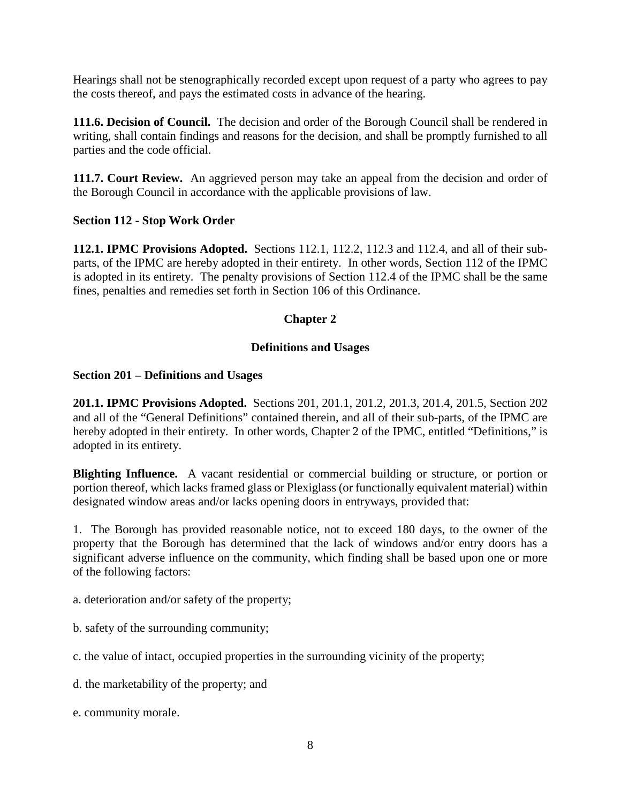Hearings shall not be stenographically recorded except upon request of a party who agrees to pay the costs thereof, and pays the estimated costs in advance of the hearing.

**111.6. Decision of Council.** The decision and order of the Borough Council shall be rendered in writing, shall contain findings and reasons for the decision, and shall be promptly furnished to all parties and the code official.

**111.7. Court Review.** An aggrieved person may take an appeal from the decision and order of the Borough Council in accordance with the applicable provisions of law.

# **Section 112 - Stop Work Order**

**112.1. IPMC Provisions Adopted.** Sections 112.1, 112.2, 112.3 and 112.4, and all of their subparts, of the IPMC are hereby adopted in their entirety. In other words, Section 112 of the IPMC is adopted in its entirety. The penalty provisions of Section 112.4 of the IPMC shall be the same fines, penalties and remedies set forth in Section 106 of this Ordinance.

## **Chapter 2**

## **Definitions and Usages**

## **Section 201 – Definitions and Usages**

**201.1. IPMC Provisions Adopted.** Sections 201, 201.1, 201.2, 201.3, 201.4, 201.5, Section 202 and all of the "General Definitions" contained therein, and all of their sub-parts, of the IPMC are hereby adopted in their entirety. In other words, Chapter 2 of the IPMC, entitled "Definitions," is adopted in its entirety.

**Blighting Influence.** A vacant residential or commercial building or structure, or portion or portion thereof, which lacks framed glass or Plexiglass (or functionally equivalent material) within designated window areas and/or lacks opening doors in entryways, provided that:

1. The Borough has provided reasonable notice, not to exceed 180 days, to the owner of the property that the Borough has determined that the lack of windows and/or entry doors has a significant adverse influence on the community, which finding shall be based upon one or more of the following factors:

a. deterioration and/or safety of the property;

b. safety of the surrounding community;

c. the value of intact, occupied properties in the surrounding vicinity of the property;

d. the marketability of the property; and

e. community morale.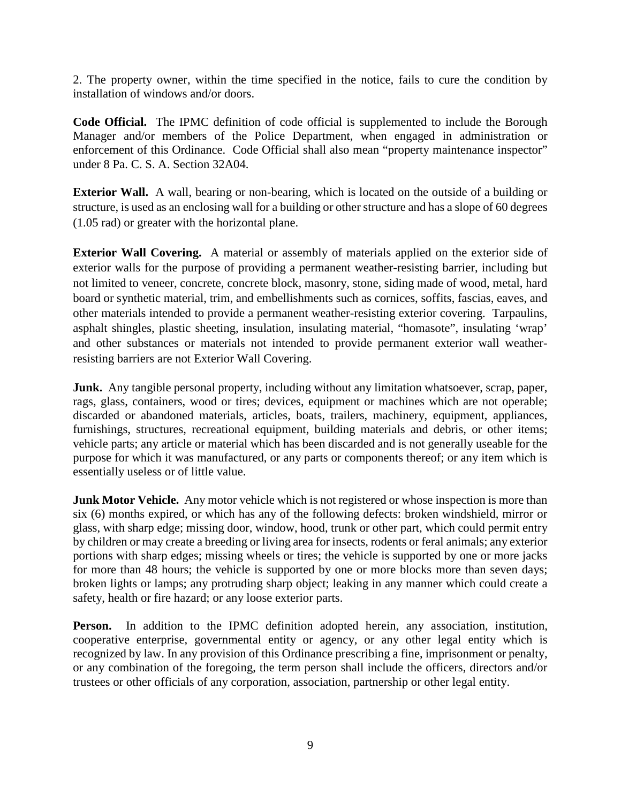2. The property owner, within the time specified in the notice, fails to cure the condition by installation of windows and/or doors.

**Code Official.** The IPMC definition of code official is supplemented to include the Borough Manager and/or members of the Police Department, when engaged in administration or enforcement of this Ordinance. Code Official shall also mean "property maintenance inspector" under 8 Pa. C. S. A. Section 32A04.

**Exterior Wall.** A wall, bearing or non-bearing, which is located on the outside of a building or structure, is used as an enclosing wall for a building or other structure and has a slope of 60 degrees (1.05 rad) or greater with the horizontal plane.

**Exterior Wall Covering.** A material or assembly of materials applied on the exterior side of exterior walls for the purpose of providing a permanent weather-resisting barrier, including but not limited to veneer, concrete, concrete block, masonry, stone, siding made of wood, metal, hard board or synthetic material, trim, and embellishments such as cornices, soffits, fascias, eaves, and other materials intended to provide a permanent weather-resisting exterior covering. Tarpaulins, asphalt shingles, plastic sheeting, insulation, insulating material, "homasote", insulating 'wrap' and other substances or materials not intended to provide permanent exterior wall weatherresisting barriers are not Exterior Wall Covering.

**Junk.** Any tangible personal property, including without any limitation whatsoever, scrap, paper, rags, glass, containers, wood or tires; devices, equipment or machines which are not operable; discarded or abandoned materials, articles, boats, trailers, machinery, equipment, appliances, furnishings, structures, recreational equipment, building materials and debris, or other items; vehicle parts; any article or material which has been discarded and is not generally useable for the purpose for which it was manufactured, or any parts or components thereof; or any item which is essentially useless or of little value.

**Junk Motor Vehicle.** Any motor vehicle which is not registered or whose inspection is more than six (6) months expired, or which has any of the following defects: broken windshield, mirror or glass, with sharp edge; missing door, window, hood, trunk or other part, which could permit entry by children or may create a breeding or living area for insects, rodents or feral animals; any exterior portions with sharp edges; missing wheels or tires; the vehicle is supported by one or more jacks for more than 48 hours; the vehicle is supported by one or more blocks more than seven days; broken lights or lamps; any protruding sharp object; leaking in any manner which could create a safety, health or fire hazard; or any loose exterior parts.

**Person.** In addition to the IPMC definition adopted herein, any association, institution, cooperative enterprise, governmental entity or agency, or any other legal entity which is recognized by law. In any provision of this Ordinance prescribing a fine, imprisonment or penalty, or any combination of the foregoing, the term person shall include the officers, directors and/or trustees or other officials of any corporation, association, partnership or other legal entity.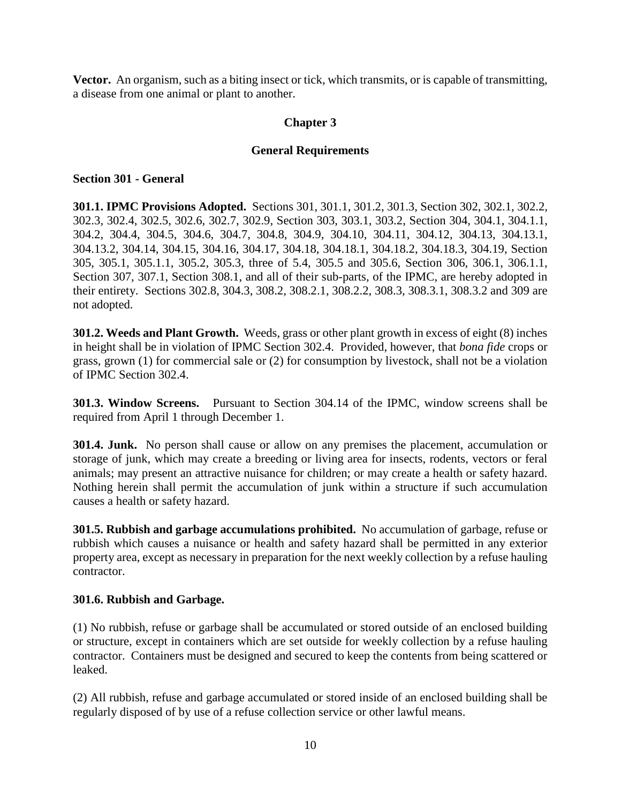**Vector.** An organism, such as a biting insect or tick, which transmits, or is capable of transmitting, a disease from one animal or plant to another.

## **Chapter 3**

## **General Requirements**

## **Section 301 - General**

**301.1. IPMC Provisions Adopted.** Sections 301, 301.1, 301.2, 301.3, Section 302, 302.1, 302.2, 302.3, 302.4, 302.5, 302.6, 302.7, 302.9, Section 303, 303.1, 303.2, Section 304, 304.1, 304.1.1, 304.2, 304.4, 304.5, 304.6, 304.7, 304.8, 304.9, 304.10, 304.11, 304.12, 304.13, 304.13.1, 304.13.2, 304.14, 304.15, 304.16, 304.17, 304.18, 304.18.1, 304.18.2, 304.18.3, 304.19, Section 305, 305.1, 305.1.1, 305.2, 305.3, three of 5.4, 305.5 and 305.6, Section 306, 306.1, 306.1.1, Section 307, 307.1, Section 308.1, and all of their sub-parts, of the IPMC, are hereby adopted in their entirety. Sections 302.8, 304.3, 308.2, 308.2.1, 308.2.2, 308.3, 308.3.1, 308.3.2 and 309 are not adopted.

**301.2. Weeds and Plant Growth.** Weeds, grass or other plant growth in excess of eight (8) inches in height shall be in violation of IPMC Section 302.4. Provided, however, that *bona fide* crops or grass, grown (1) for commercial sale or (2) for consumption by livestock, shall not be a violation of IPMC Section 302.4.

**301.3. Window Screens.** Pursuant to Section 304.14 of the IPMC, window screens shall be required from April 1 through December 1.

**301.4. Junk.** No person shall cause or allow on any premises the placement, accumulation or storage of junk, which may create a breeding or living area for insects, rodents, vectors or feral animals; may present an attractive nuisance for children; or may create a health or safety hazard. Nothing herein shall permit the accumulation of junk within a structure if such accumulation causes a health or safety hazard.

**301.5. Rubbish and garbage accumulations prohibited.** No accumulation of garbage, refuse or rubbish which causes a nuisance or health and safety hazard shall be permitted in any exterior property area, except as necessary in preparation for the next weekly collection by a refuse hauling contractor.

## **301.6. Rubbish and Garbage.**

(1) No rubbish, refuse or garbage shall be accumulated or stored outside of an enclosed building or structure, except in containers which are set outside for weekly collection by a refuse hauling contractor. Containers must be designed and secured to keep the contents from being scattered or leaked.

(2) All rubbish, refuse and garbage accumulated or stored inside of an enclosed building shall be regularly disposed of by use of a refuse collection service or other lawful means.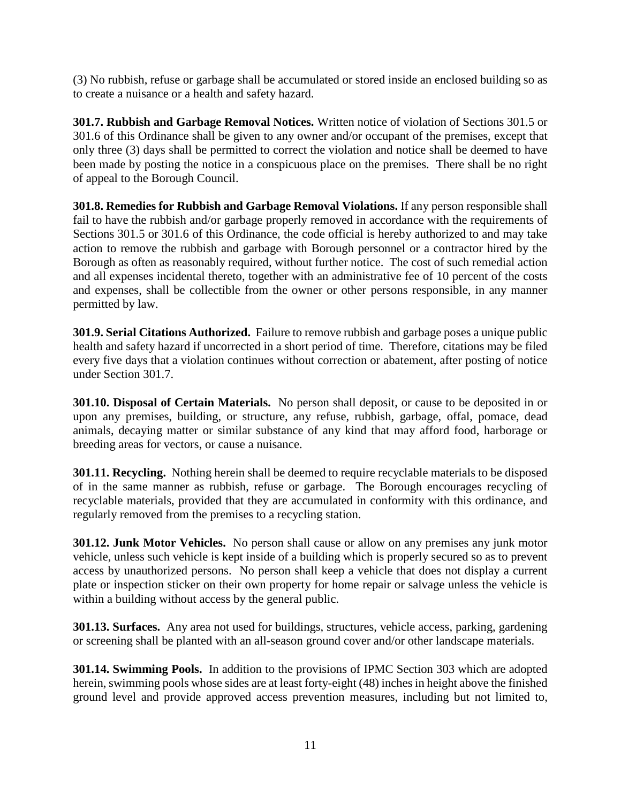(3) No rubbish, refuse or garbage shall be accumulated or stored inside an enclosed building so as to create a nuisance or a health and safety hazard.

**301.7. Rubbish and Garbage Removal Notices.** Written notice of violation of Sections 301.5 or 301.6 of this Ordinance shall be given to any owner and/or occupant of the premises, except that only three (3) days shall be permitted to correct the violation and notice shall be deemed to have been made by posting the notice in a conspicuous place on the premises. There shall be no right of appeal to the Borough Council.

**301.8. Remedies for Rubbish and Garbage Removal Violations.** If any person responsible shall fail to have the rubbish and/or garbage properly removed in accordance with the requirements of Sections 301.5 or 301.6 of this Ordinance, the code official is hereby authorized to and may take action to remove the rubbish and garbage with Borough personnel or a contractor hired by the Borough as often as reasonably required, without further notice. The cost of such remedial action and all expenses incidental thereto, together with an administrative fee of 10 percent of the costs and expenses, shall be collectible from the owner or other persons responsible, in any manner permitted by law.

**301.9. Serial Citations Authorized.** Failure to remove rubbish and garbage poses a unique public health and safety hazard if uncorrected in a short period of time. Therefore, citations may be filed every five days that a violation continues without correction or abatement, after posting of notice under Section 301.7.

**301.10. Disposal of Certain Materials.** No person shall deposit, or cause to be deposited in or upon any premises, building, or structure, any refuse, rubbish, garbage, offal, pomace, dead animals, decaying matter or similar substance of any kind that may afford food, harborage or breeding areas for vectors, or cause a nuisance.

**301.11. Recycling.** Nothing herein shall be deemed to require recyclable materials to be disposed of in the same manner as rubbish, refuse or garbage. The Borough encourages recycling of recyclable materials, provided that they are accumulated in conformity with this ordinance, and regularly removed from the premises to a recycling station.

**301.12. Junk Motor Vehicles.** No person shall cause or allow on any premises any junk motor vehicle, unless such vehicle is kept inside of a building which is properly secured so as to prevent access by unauthorized persons. No person shall keep a vehicle that does not display a current plate or inspection sticker on their own property for home repair or salvage unless the vehicle is within a building without access by the general public.

**301.13. Surfaces.** Any area not used for buildings, structures, vehicle access, parking, gardening or screening shall be planted with an all-season ground cover and/or other landscape materials.

**301.14. Swimming Pools.** In addition to the provisions of IPMC Section 303 which are adopted herein, swimming pools whose sides are at least forty-eight (48) inches in height above the finished ground level and provide approved access prevention measures, including but not limited to,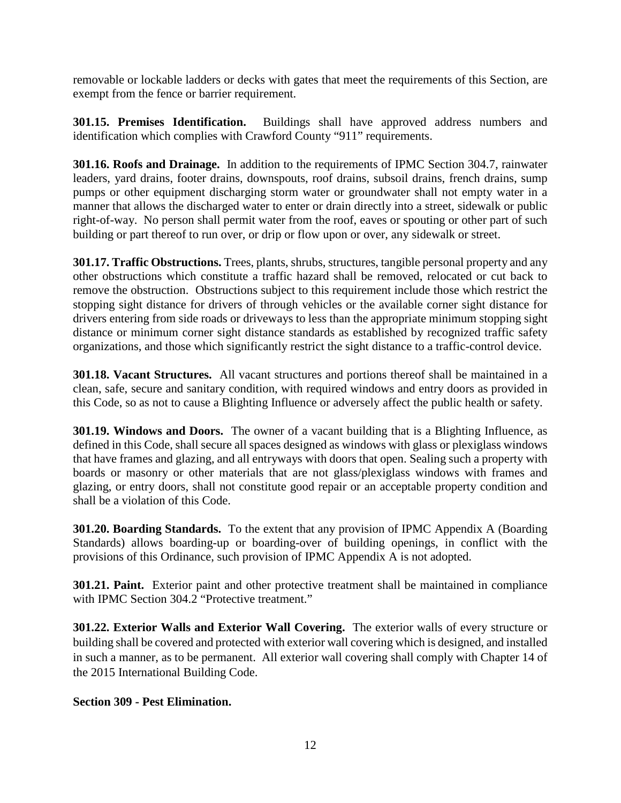removable or lockable ladders or decks with gates that meet the requirements of this Section, are exempt from the fence or barrier requirement.

**301.15. Premises Identification.** Buildings shall have approved address numbers and identification which complies with Crawford County "911" requirements.

**301.16. Roofs and Drainage.** In addition to the requirements of IPMC Section 304.7, rainwater leaders, yard drains, footer drains, downspouts, roof drains, subsoil drains, french drains, sump pumps or other equipment discharging storm water or groundwater shall not empty water in a manner that allows the discharged water to enter or drain directly into a street, sidewalk or public right-of-way. No person shall permit water from the roof, eaves or spouting or other part of such building or part thereof to run over, or drip or flow upon or over, any sidewalk or street.

**301.17. Traffic Obstructions.** Trees, plants, shrubs, structures, tangible personal property and any other obstructions which constitute a traffic hazard shall be removed, relocated or cut back to remove the obstruction. Obstructions subject to this requirement include those which restrict the stopping sight distance for drivers of through vehicles or the available corner sight distance for drivers entering from side roads or driveways to less than the appropriate minimum stopping sight distance or minimum corner sight distance standards as established by recognized traffic safety organizations, and those which significantly restrict the sight distance to a traffic-control device.

**301.18. Vacant Structures.** All vacant structures and portions thereof shall be maintained in a clean, safe, secure and sanitary condition, with required windows and entry doors as provided in this Code, so as not to cause a Blighting Influence or adversely affect the public health or safety.

**301.19. Windows and Doors.** The owner of a vacant building that is a Blighting Influence, as defined in this Code, shall secure all spaces designed as windows with glass or plexiglass windows that have frames and glazing, and all entryways with doors that open. Sealing such a property with boards or masonry or other materials that are not glass/plexiglass windows with frames and glazing, or entry doors, shall not constitute good repair or an acceptable property condition and shall be a violation of this Code.

**301.20. Boarding Standards.** To the extent that any provision of IPMC Appendix A (Boarding Standards) allows boarding-up or boarding-over of building openings, in conflict with the provisions of this Ordinance, such provision of IPMC Appendix A is not adopted.

**301.21. Paint.** Exterior paint and other protective treatment shall be maintained in compliance with IPMC Section 304.2 "Protective treatment."

**301.22. Exterior Walls and Exterior Wall Covering.** The exterior walls of every structure or building shall be covered and protected with exterior wall covering which is designed, and installed in such a manner, as to be permanent. All exterior wall covering shall comply with Chapter 14 of the 2015 International Building Code.

**Section 309 - Pest Elimination.**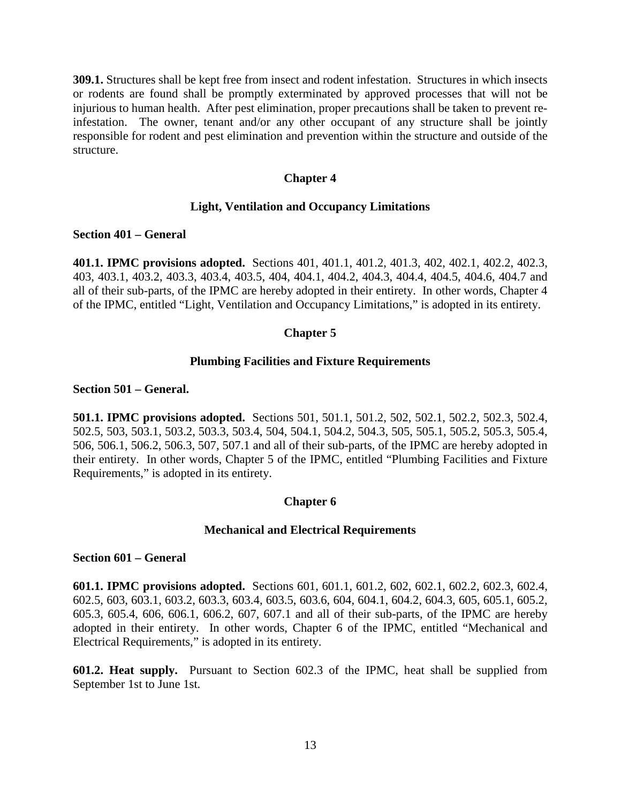**309.1.** Structures shall be kept free from insect and rodent infestation. Structures in which insects or rodents are found shall be promptly exterminated by approved processes that will not be injurious to human health. After pest elimination, proper precautions shall be taken to prevent reinfestation. The owner, tenant and/or any other occupant of any structure shall be jointly responsible for rodent and pest elimination and prevention within the structure and outside of the structure.

## **Chapter 4**

## **Light, Ventilation and Occupancy Limitations**

#### **Section 401 – General**

**401.1. IPMC provisions adopted.** Sections 401, 401.1, 401.2, 401.3, 402, 402.1, 402.2, 402.3, 403, 403.1, 403.2, 403.3, 403.4, 403.5, 404, 404.1, 404.2, 404.3, 404.4, 404.5, 404.6, 404.7 and all of their sub-parts, of the IPMC are hereby adopted in their entirety. In other words, Chapter 4 of the IPMC, entitled "Light, Ventilation and Occupancy Limitations," is adopted in its entirety.

## **Chapter 5**

#### **Plumbing Facilities and Fixture Requirements**

#### **Section 501 – General.**

**501.1. IPMC provisions adopted.** Sections 501, 501.1, 501.2, 502, 502.1, 502.2, 502.3, 502.4, 502.5, 503, 503.1, 503.2, 503.3, 503.4, 504, 504.1, 504.2, 504.3, 505, 505.1, 505.2, 505.3, 505.4, 506, 506.1, 506.2, 506.3, 507, 507.1 and all of their sub-parts, of the IPMC are hereby adopted in their entirety. In other words, Chapter 5 of the IPMC, entitled "Plumbing Facilities and Fixture Requirements," is adopted in its entirety.

## **Chapter 6**

#### **Mechanical and Electrical Requirements**

#### **Section 601 – General**

**601.1. IPMC provisions adopted.** Sections 601, 601.1, 601.2, 602, 602.1, 602.2, 602.3, 602.4, 602.5, 603, 603.1, 603.2, 603.3, 603.4, 603.5, 603.6, 604, 604.1, 604.2, 604.3, 605, 605.1, 605.2, 605.3, 605.4, 606, 606.1, 606.2, 607, 607.1 and all of their sub-parts, of the IPMC are hereby adopted in their entirety. In other words, Chapter 6 of the IPMC, entitled "Mechanical and Electrical Requirements," is adopted in its entirety.

**601.2. Heat supply.** Pursuant to Section 602.3 of the IPMC, heat shall be supplied from September 1st to June 1st.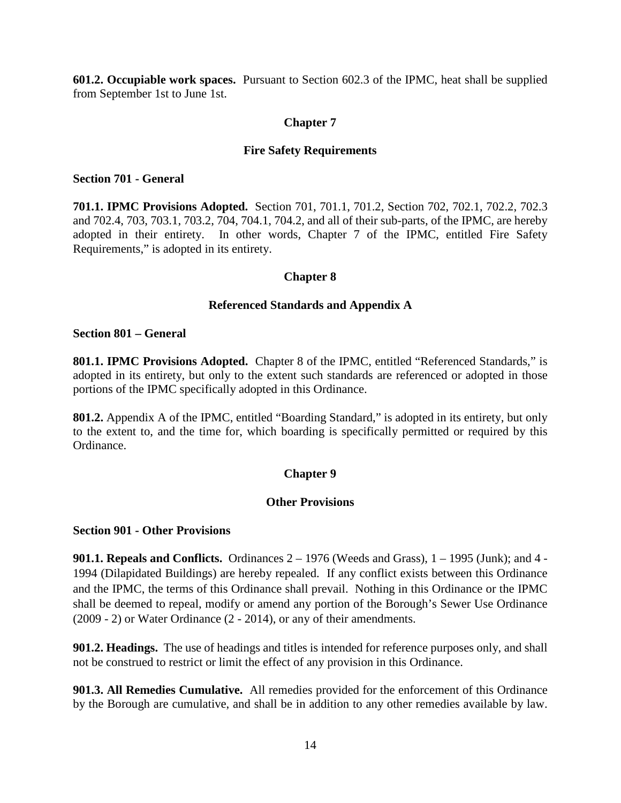**601.2. Occupiable work spaces.** Pursuant to Section 602.3 of the IPMC, heat shall be supplied from September 1st to June 1st.

## **Chapter 7**

## **Fire Safety Requirements**

#### **Section 701 - General**

**701.1. IPMC Provisions Adopted.** Section 701, 701.1, 701.2, Section 702, 702.1, 702.2, 702.3 and 702.4, 703, 703.1, 703.2, 704, 704.1, 704.2, and all of their sub-parts, of the IPMC, are hereby adopted in their entirety. In other words, Chapter 7 of the IPMC, entitled Fire Safety Requirements," is adopted in its entirety.

## **Chapter 8**

## **Referenced Standards and Appendix A**

#### **Section 801 – General**

**801.1. IPMC Provisions Adopted.** Chapter 8 of the IPMC, entitled "Referenced Standards," is adopted in its entirety, but only to the extent such standards are referenced or adopted in those portions of the IPMC specifically adopted in this Ordinance.

**801.2.** Appendix A of the IPMC, entitled "Boarding Standard," is adopted in its entirety, but only to the extent to, and the time for, which boarding is specifically permitted or required by this Ordinance.

## **Chapter 9**

## **Other Provisions**

## **Section 901 - Other Provisions**

**901.1. Repeals and Conflicts.** Ordinances 2 – 1976 (Weeds and Grass), 1 – 1995 (Junk); and 4 - 1994 (Dilapidated Buildings) are hereby repealed. If any conflict exists between this Ordinance and the IPMC, the terms of this Ordinance shall prevail. Nothing in this Ordinance or the IPMC shall be deemed to repeal, modify or amend any portion of the Borough's Sewer Use Ordinance (2009 - 2) or Water Ordinance (2 - 2014), or any of their amendments.

**901.2. Headings.** The use of headings and titles is intended for reference purposes only, and shall not be construed to restrict or limit the effect of any provision in this Ordinance.

**901.3. All Remedies Cumulative.** All remedies provided for the enforcement of this Ordinance by the Borough are cumulative, and shall be in addition to any other remedies available by law.